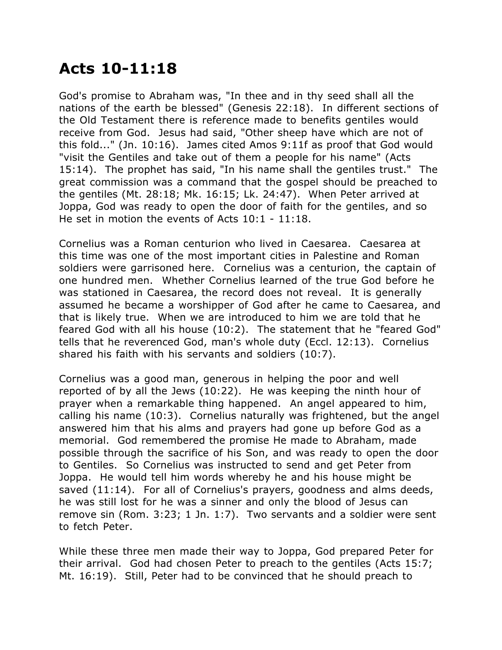## **Acts 10-11:18**

God's promise to Abraham was, "In thee and in thy seed shall all the nations of the earth be blessed" (Genesis 22:18). In different sections of the Old Testament there is reference made to benefits gentiles would receive from God. Jesus had said, "Other sheep have which are not of this fold..." (Jn. 10:16). James cited Amos 9:11f as proof that God would "visit the Gentiles and take out of them a people for his name" (Acts 15:14). The prophet has said, "In his name shall the gentiles trust." The great commission was a command that the gospel should be preached to the gentiles (Mt. 28:18; Mk. 16:15; Lk. 24:47). When Peter arrived at Joppa, God was ready to open the door of faith for the gentiles, and so He set in motion the events of Acts 10:1 - 11:18.

Cornelius was a Roman centurion who lived in Caesarea. Caesarea at this time was one of the most important cities in Palestine and Roman soldiers were garrisoned here. Cornelius was a centurion, the captain of one hundred men. Whether Cornelius learned of the true God before he was stationed in Caesarea, the record does not reveal. It is generally assumed he became a worshipper of God after he came to Caesarea, and that is likely true. When we are introduced to him we are told that he feared God with all his house (10:2). The statement that he "feared God" tells that he reverenced God, man's whole duty (Eccl. 12:13). Cornelius shared his faith with his servants and soldiers (10:7).

Cornelius was a good man, generous in helping the poor and well reported of by all the Jews (10:22). He was keeping the ninth hour of prayer when a remarkable thing happened. An angel appeared to him, calling his name (10:3). Cornelius naturally was frightened, but the angel answered him that his alms and prayers had gone up before God as a memorial. God remembered the promise He made to Abraham, made possible through the sacrifice of his Son, and was ready to open the door to Gentiles. So Cornelius was instructed to send and get Peter from Joppa. He would tell him words whereby he and his house might be saved (11:14). For all of Cornelius's prayers, goodness and alms deeds, he was still lost for he was a sinner and only the blood of Jesus can remove sin (Rom. 3:23; 1 Jn. 1:7). Two servants and a soldier were sent to fetch Peter.

While these three men made their way to Joppa, God prepared Peter for their arrival. God had chosen Peter to preach to the gentiles (Acts 15:7; Mt. 16:19). Still, Peter had to be convinced that he should preach to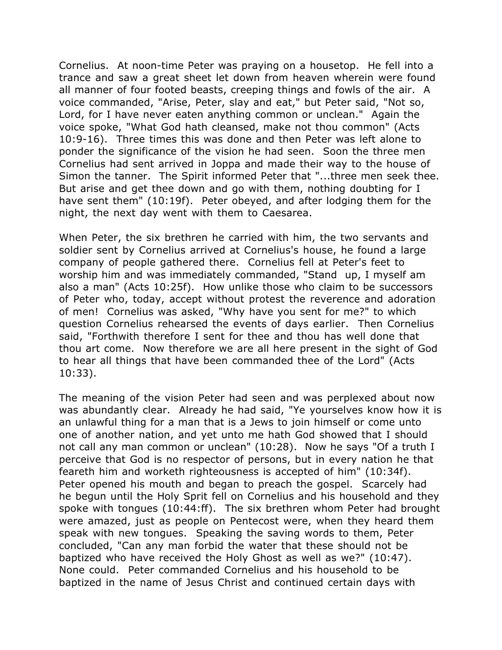Cornelius. At noon-time Peter was praying on a housetop. He fell into a trance and saw a great sheet let down from heaven wherein were found all manner of four footed beasts, creeping things and fowls of the air. A voice commanded, "Arise, Peter, slay and eat," but Peter said, "Not so, Lord, for I have never eaten anything common or unclean." Again the voice spoke, "What God hath cleansed, make not thou common" (Acts 10:9-16). Three times this was done and then Peter was left alone to ponder the significance of the vision he had seen. Soon the three men Cornelius had sent arrived in Joppa and made their way to the house of Simon the tanner. The Spirit informed Peter that "...three men seek thee. But arise and get thee down and go with them, nothing doubting for I have sent them" (10:19f). Peter obeyed, and after lodging them for the night, the next day went with them to Caesarea.

When Peter, the six brethren he carried with him, the two servants and soldier sent by Cornelius arrived at Cornelius's house, he found a large company of people gathered there. Cornelius fell at Peter's feet to worship him and was immediately commanded, "Stand up, I myself am also a man" (Acts 10:25f). How unlike those who claim to be successors of Peter who, today, accept without protest the reverence and adoration of men! Cornelius was asked, "Why have you sent for me?" to which question Cornelius rehearsed the events of days earlier. Then Cornelius said, "Forthwith therefore I sent for thee and thou has well done that thou art come. Now therefore we are all here present in the sight of God to hear all things that have been commanded thee of the Lord" (Acts 10:33).

The meaning of the vision Peter had seen and was perplexed about now was abundantly clear. Already he had said, "Ye yourselves know how it is an unlawful thing for a man that is a Jews to join himself or come unto one of another nation, and yet unto me hath God showed that I should not call any man common or unclean" (10:28). Now he says "Of a truth I perceive that God is no respector of persons, but in every nation he that feareth him and worketh righteousness is accepted of him" (10:34f). Peter opened his mouth and began to preach the gospel. Scarcely had he begun until the Holy Sprit fell on Cornelius and his household and they spoke with tongues (10:44:ff). The six brethren whom Peter had brought were amazed, just as people on Pentecost were, when they heard them speak with new tongues. Speaking the saving words to them, Peter concluded, "Can any man forbid the water that these should not be baptized who have received the Holy Ghost as well as we?" (10:47). None could. Peter commanded Cornelius and his household to be baptized in the name of Jesus Christ and continued certain days with